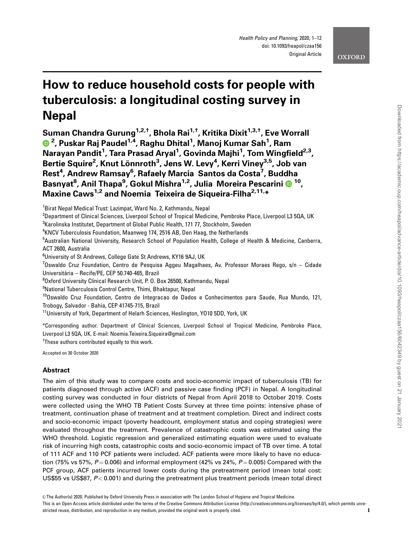# How to reduce household costs for people with tuberculosis: a longitudinal costing survey in Nepal

Suman Chandra Gurung<sup>1,2,†</sup>, Bhola Rai<sup>1,†</sup>, Kritika Dixit<sup>1,3,†</sup>, Eve Worrall <sup>2</sup>, Puskar Raj Paudel<sup>1,4</sup>, Raghu Dhital<sup>1</sup>, Manoj Kumar Sah<sup>1</sup>, Ram Narayan Pandit<sup>1</sup>, Tara Prasad Aryal<sup>1</sup>, Govinda Majhi<sup>1</sup>, Tom Wingfield<sup>2,3</sup>, Bertie Squire<sup>2</sup>, Knut Lönnroth<sup>3</sup>, Jens W. Levy<sup>4</sup>, Kerri Viney<sup>3,5</sup>, Job van Rest<sup>4</sup>, Andrew Ramsay<sup>6</sup>, Rafaely Marcia Santos da Costa<sup>7</sup>, Buddha Basnyat8 , Anil Thapa9 , Gokul Mishra1,2, Julia Moreira Pescarini 10, Maxine Caws<sup>1,2</sup> and Noemia Teixeira de Siqueira-Filha<sup>2,11,\*</sup>

 $^3$ Karolinska Institutet, Department of Global Public Health, 171 77, Stockholm, Sweden

4 KNCV Tuberculosis Foundation, Maanweg 174, 2516 AB, Den Haag, the Netherlands

<sup>5</sup>Australian National University, Research School of Population Health, College of Health & Medicine, Canberra, ACT 2600, Australia

6 University of St Andrews, College Gate St Andrews, KY16 9AJ, UK

<sup>7</sup>Oswaldo Cruz Foundation, Centro de Pesquisa Aggeu Magalhaes, Av. Professor Moraes Rego, s/n – Cidade Universitária – Recife/PE, CEP 50.740-465, Brazil

8 Oxford University Clinical Research Unit, P. O. Box 26500, Kathmandu, Nepal

<sup>9</sup>National Tuberculosis Control Centre, Thimi, Bhaktapur, Nepal

<sup>10</sup>Oswaldo Cruz Foundation, Centro de Integracao de Dados e Conhecimentos para Saude, Rua Mundo, 121, Trobogy, Salvador - Bahia, CEP 41745-715, Brazil

\*Corresponding author. Department of Clinical Sciences, Liverpool School of Tropical Medicine, Pembroke Place, Liverpool L3 5QA, UK. E-mail: Noemia.Teixeira.Siqueira@gmail.com

<sup>†</sup>These authors contributed equally to this work.

Accepted on 30 October 2020

## Abstract

The aim of this study was to compare costs and socio-economic impact of tuberculosis (TB) for patients diagnosed through active (ACF) and passive case finding (PCF) in Nepal. A longitudinal costing survey was conducted in four districts of Nepal from April 2018 to October 2019. Costs were collected using the WHO TB Patient Costs Survey at three time points: intensive phase of treatment, continuation phase of treatment and at treatment completion. Direct and indirect costs and socio-economic impact (poverty headcount, employment status and coping strategies) were evaluated throughout the treatment. Prevalence of catastrophic costs was estimated using the WHO threshold. Logistic regression and generalized estimating equation were used to evaluate risk of incurring high costs, catastrophic costs and socio-economic impact of TB over time. A total of 111 ACF and 110 PCF patients were included. ACF patients were more likely to have no education (75% vs 57%,  $P = 0.006$ ) and informal employment (42% vs 24%,  $P = 0.005$ ) Compared with the PCF group, ACF patients incurred lower costs during the pretreatment period (mean total cost: US\$55 vs US\$87, P<0.001) and during the pretreatment plus treatment periods (mean total direct

<sup>&</sup>lt;sup>1</sup>Birat Nepal Medical Trust: Lazimpat, Ward No. 2, Kathmandu, Nepal

<sup>&</sup>lt;sup>2</sup>Department of Clinical Sciences, Liverpool School of Tropical Medicine, Pembroke Place, Liverpool L3 5QA, UK

<sup>&</sup>lt;sup>11</sup>University of York, Department of Helarh Sciences, Heslington, Y010 5DD, York, UK

This is an Open Access article distributed under the terms of the Creative Commons Attribution License (http://creativecommons.org/licenses/by/4.0/), which permits unrestricted reuse, distribution, and reproduction in any medium, provided the original work is properly cited. 1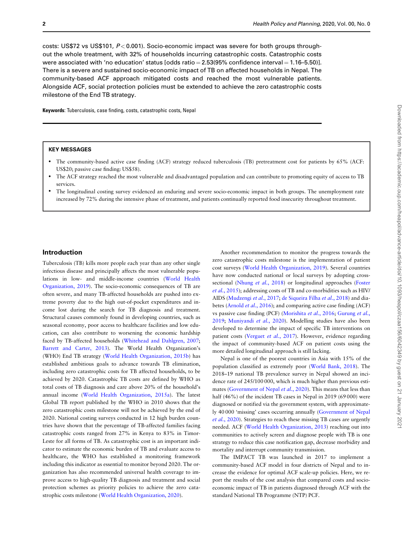costs: US\$72 vs US\$101,  $P < 0.001$ ). Socio-economic impact was severe for both groups throughout the whole treatment, with 32% of households incurring catastrophic costs. Catastrophic costs were associated with 'no education' status  $[odds \text{ ratio} = 2.53(95\% \text{ confidence interval}] = 1.16-5.50)$ . There is a severe and sustained socio-economic impact of TB on affected households in Nepal. The community-based ACF approach mitigated costs and reached the most vulnerable patients. Alongside ACF, social protection policies must be extended to achieve the zero catastrophic costs milestone of the End TB strategy.

Keywords: Tuberculosis, case finding, costs, catastrophic costs, Nepal

#### KEY MESSAGES

- The community-based active case finding (ACF) strategy reduced tuberculosis (TB) pretreatment cost for patients by 65% (ACF: US\$20; passive case finding: US\$58).
- The ACF strategy reached the most vulnerable and disadvantaged population and can contribute to promoting equity of access to TB services.
- The longitudinal costing survey evidenced an enduring and severe socio-economic impact in both groups. The unemployment rate increased by 72% during the intensive phase of treatment, and patients continually reported food insecurity throughout treatment.

### Introduction

Tuberculosis (TB) kills more people each year than any other single infectious disease and principally affects the most vulnerable populations in low- and middle-income countries [\(World Health](#page-11-0) [Organization, 2019\)](#page-11-0). The socio-economic consequences of TB are often severe, and many TB-affected households are pushed into extreme poverty due to the high out-of-pocket expenditures and income lost during the search for TB diagnosis and treatment. Structural causes commonly found in developing countries, such as seasonal economy, poor access to healthcare facilities and low education, can also contribute to worsening the economic hardship faced by TB-affected households ([Whitehead and Dahlgren, 2007;](#page-10-0) [Barrett and Carter, 2013](#page-10-0)). The World Health Organization's (WHO) End TB strategy [\(World Health Organization, 2015b](#page-11-0)) has established ambitious goals to advance towards TB elimination, including zero catastrophic costs for TB affected households, to be achieved by 2020. Catastrophic TB costs are defined by WHO as total costs of TB diagnosis and care above 20% of the household's annual income [\(World Health Organization, 2015a\)](#page-11-0). The latest Global TB report published by the WHO in 2010 shows that the zero catastrophic costs milestone will not be achieved by the end of 2020. National costing surveys conducted in 12 high burden countries have shown that the percentage of TB-affected families facing catastrophic costs ranged from 27% in Kenya to 83% in Timor-Leste for all forms of TB. As catastrophic cost is an important indicator to estimate the economic burden of TB and evaluate access to healthcare, the WHO has established a monitoring framework including this indicator as essential to monitor beyond 2020. The organization has also recommended universal health coverage to improve access to high-quality TB diagnosis and treatment and social protection schemes as priority policies to achieve the zero catastrophic costs milestone [\(World Health Organization, 2020](#page-11-0)).

Another recommendation to monitor the progress towards the zero catastrophic costs milestone is the implementation of patient cost surveys ([World Health Organization, 2019\)](#page-11-0). Several countries have now conducted national or local surveys by adopting cross-sectional [\(Nhung](#page-10-0) et al., 2018) or longitudinal approaches ([Foster](#page-10-0) et al.[, 2015\)](#page-10-0); addressing costs of TB and co-morbidities such as HIV/ AIDS [\(Mudzengi](#page-10-0) et al., 2017; [de Siqueira Filha](#page-10-0) et al., 2018) and dia-betes [\(Arnold](#page-10-0) et al., 2016); and comparing active case finding (ACF) vs passive case finding (PCF) ([Morishita](#page-10-0) et al., 2016; [Gurung](#page-10-0) et al., [2019;](#page-10-0) [Muniyandi](#page-10-0) et al., 2020). Modelling studies have also been developed to determine the impact of specific TB interventions on patient costs ([Verguet](#page-10-0) et al., 2017). However, evidence regarding the impact of community-based ACF on patient costs using the more detailed longitudinal approach is still lacking.

Nepal is one of the poorest countries in Asia with 15% of the population classified as extremely poor ([World Bank, 2018](#page-11-0)). The 2018–19 national TB prevalence survey in Nepal showed an incidence rate of 245/100 000, which is much higher than previous esti-mates ([Government of Nepal](#page-10-0) et al., 2020). This means that less than half (46%) of the incident TB cases in Nepal in 2019 (69 000) were diagnosed or notified via the government system, with approximately 40 000 'missing' cases occurring annually ([Government of Nepal](#page-10-0) et al.[, 2020\)](#page-10-0). Strategies to reach these missing TB cases are urgently needed. ACF [\(World Health Organization, 2013](#page-11-0)) reaching out into communities to actively screen and diagnose people with TB is one strategy to reduce this case notification gap, decrease morbidity and mortality and interrupt community transmission.

The IMPACT TB was launched in 2017 to implement a community-based ACF model in four districts of Nepal and to increase the evidence for optimal ACF scale-up policies. Here, we report the results of the cost analysis that compared costs and socioeconomic impact of TB in patients diagnosed through ACF with the standard National TB Programme (NTP) PCF.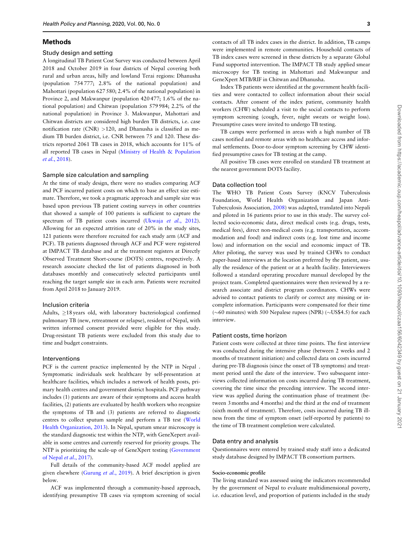#### Methods

#### Study design and setting

A longitudinal TB Patient Cost Survey was conducted between April 2018 and October 2019 in four districts of Nepal covering both rural and urban areas, hilly and lowland Terai regions: Dhanusha (population 754 777; 2.8% of the national population) and Mahottari (population 627 580; 2.4% of the national population) in Province 2, and Makwanpur (population 420 477; 1.6% of the national population) and Chitwan (population 579 984; 2.2% of the national population) in Province 3. Makwanpur, Mahottari and Chitwan districts are considered high burden TB districts, i.e. case notification rate (CNR) >120, and Dhanusha is classified as medium TB burden district, i.e. CNR between 75 and 120. These districts reported 2061 TB cases in 2018, which accounts for 11% of all reported TB cases in Nepal [\(Ministry of Health & Population](#page-10-0) et al.[, 2018\)](#page-10-0).

#### Sample size calculation and sampling

At the time of study design, there were no studies comparing ACF and PCF incurred patient costs on which to base an effect size estimate. Therefore, we took a pragmatic approach and sample size was based upon previous TB patient costing surveys in other countries that showed a sample of 100 patients is sufficient to capture the spectrum of TB patient costs incurred [\(Ukwaja](#page-10-0) et al., 2012). Allowing for an expected attrition rate of 20% in the study sites, 121 patients were therefore recruited for each study arm (ACF and PCF). TB patients diagnosed through ACF and PCF were registered at IMPACT TB database and at the treatment registers at Directly Observed Treatment Short-course (DOTS) centres, respectively. A research associate checked the list of patients diagnosed in both databases monthly and consecutively selected participants until reaching the target sample size in each arm. Patients were recruited from April 2018 to January 2019.

#### Inclusion criteria

Adults,  $\geq$ 18 years old, with laboratory bacteriological confirmed pulmonary TB (new, retreatment or relapse), resident of Nepal, with written informed consent provided were eligible for this study. Drug-resistant TB patients were excluded from this study due to time and budget constraints.

#### Interventions

PCF is the current practice implemented by the NTP in Nepal . Symptomatic individuals seek healthcare by self-presentation at healthcare facilities, which includes a network of health posts, primary health centres and government district hospitals. PCF pathway includes (1) patients are aware of their symptoms and access health facilities, (2) patients are evaluated by health workers who recognize the symptoms of TB and (3) patients are referred to diagnostic centres to collect sputum sample and perform a TB test [\(World](#page-11-0) [Health Organization, 2013\)](#page-11-0). In Nepal, sputum smear microscopy is the standard diagnostic test within the NTP, with GeneXepert available in some centres and currently reserved for priority groups. The NTP is prioritizing the scale-up of GeneXpert testing [\(Government](#page-10-0) [of Nepal](#page-10-0) et al., 2017).

Full details of the community-based ACF model applied are given elsewhere [\(Gurung](#page-10-0) et al., 2019). A brief description is given below.

ACF was implemented through a community-based approach, identifying presumptive TB cases via symptom screening of social contacts of all TB index cases in the district. In addition, TB camps were implemented in remote communities. Household contacts of TB index cases were screened in these districts by a separate Global Fund supported intervention. The IMPACT TB study applied smear microscopy for TB testing in Mahottari and Makwanpur and GeneXpert MTB/RIF in Chitwan and Dhanusha.

Index TB patients were identified at the government health facilities and were contacted to collect information about their social contacts. After consent of the index patient, community health workers (CHW) scheduled a visit to the social contacts to perform symptom screening (cough, fever, night sweats or weight loss). Presumptive cases were invited to undergo TB testing.

TB camps were performed in areas with a high number of TB cases notified and remote areas with no healthcare access and informal settlements. Door-to-door symptom screening by CHW identified presumptive cases for TB testing at the camp.

All positive TB cases were enrolled on standard TB treatment at the nearest government DOTS facility.

#### Data collection tool

The WHO TB Patient Costs Survey (KNCV Tuberculosis Foundation, World Health Organization and Japan Anti-Tuberculosis Association[, 2008\)](#page-11-0) was adapted, translated into Nepali and piloted in 16 patients prior to use in this study. The survey collected socio-economic data, direct medical costs (e.g. drugs, tests, medical fees), direct non-medical costs (e.g. transportation, accommodation and food) and indirect costs (e.g. lost time and income loss) and information on the social and economic impact of TB. After piloting, the survey was used by trained CHWs to conduct paper-based interviews at the location preferred by the patient, usually the residence of the patient or at a health facility. Interviewers followed a standard operating procedure manual developed by the project team. Completed questionnaires were then reviewed by a research associate and district program coordinators. CHWs were advised to contact patients to clarify or correct any missing or incomplete information. Participants were compensated for their time ( $\sim$ 60 minutes) with 500 Nepalese rupees (NPR) ( $\sim$ US\$4.5) for each interview.

#### Patient costs, time horizon

Patient costs were collected at three time points. The first interview was conducted during the intensive phase (between 2 weeks and 2 months of treatment initiation) and collected data on costs incurred during pre-TB diagnosis (since the onset of TB symptoms) and treatment period until the date of the interview. Two subsequent interviews collected information on costs incurred during TB treatment, covering the time since the preceding interview. The second interview was applied during the continuation phase of treatment (between 3 months and 4 months) and the third at the end of treatment (sixth month of treatment). Therefore, costs incurred during TB illness from the time of symptom onset (self-reported by patients) to the time of TB treatment completion were calculated.

#### Data entry and analysis

Questionnaires were entered by trained study staff into a dedicated study database designed by IMPACT TB consortium partners.

#### Socio-economic profile

The living standard was assessed using the indicators recommended by the government of Nepal to evaluate multidimensional poverty, i.e. education level, and proportion of patients included in the study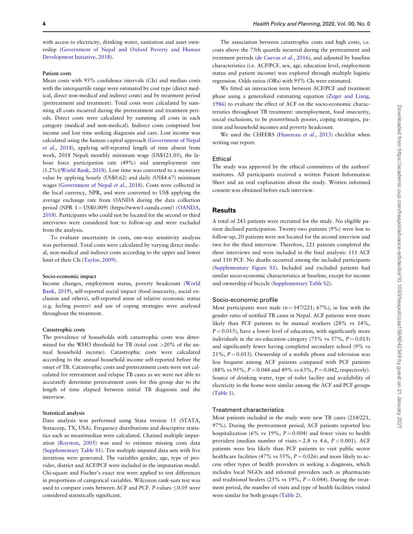with access to electricity, drinking water, sanitation and asset ownership [\(Government of Nepal and Oxford Poverty and Human](#page-10-0) [Development Initiative, 2018](#page-10-0)).

#### Patient costs

Mean costs with 95% confidence intervals (CIs) and median costs with the interquartile range were estimated by cost type (direct medical, direct non-medical and indirect costs) and by treatment period (pretreatment and treatment). Total costs were calculated by summing all costs incurred during the pretreatment and treatment periods. Direct costs were calculated by summing all costs in each category (medical and non-medical). Indirect costs comprised lost income and lost time seeking diagnosis and care. Lost income was calculated using the human capital approach ([Government of Nepal](#page-10-0) et al.[, 2018](#page-10-0)), applying self-reported length of time absent from work, 2018 Nepali monthly minimum wage (US\$121.05), the labour force participation rate (49%) and unemployment rate (1.2%)[\(World Bank, 2018\)](#page-11-0). Lost time was converted to a monetary value by applying hourly (US\$0.62) and daily (US\$4.67) minimum wages [\(Government of Nepal](#page-10-0) et al., 2018). Costs were collected in the local currency, NPR, and were converted to US\$ applying the average exchange rate from OANDA during the data collection period (NPR 1 = US\$0.009) [\(https://www1.oanda.com/\)](https://www1.oanda.com/) ([OANDA,](#page-10-0) [2018\)](#page-10-0). Participants who could not be located for the second or third interviews were considered lost to follow-up and were excluded from the analysis.

To evaluate uncertainty in costs, one-way sensitivity analysis was performed. Total costs were calculated by varying direct medical, non-medical and indirect costs according to the upper and lower limit of their CIs [\(Taylor, 2009](#page-10-0)).

### Socio-economic impact

Income changes, employment status, poverty headcount [\(World](#page-11-0) [Bank, 2019](#page-11-0)), self-reported social impact (food insecurity, social exclusion and others), self-reported sense of relative economic status (e.g. feeling poorer) and use of coping strategies were analysed throughout the treatment.

### Catastrophic costs

The prevalence of households with catastrophic costs was determined for the WHO threshold for TB (total cost >20% of the annual household income). Catastrophic costs were calculated according to the annual household income self-reported before the onset of TB. Catastrophic costs and pretreatment costs were not calculated for retreatment and relapse TB cases as we were not able to accurately determine pretreatment costs for this group due to the length of time elapsed between initial TB diagnosis and the interview.

#### Statistical analysis

Data analysis was performed using Stata version 15 (STATA, Statacorp, TX, USA). Frequency distributions and descriptive statistics such as mean/median were calculated. Chained multiple imputation [\(Royston, 2005](#page-10-0)) was used to estimate missing costs data ([Supplementary Table S1\)](https://academic.oup.com/heapol/article-lookup/doi/10.1093/heapol/czaa156#supplementary-data). Ten multiple imputed data sets with five iterations were generated. The variables gender, age, type of provider, district and ACF/PCF were included in the imputation model. Chi-square and Fischer's exact test were applied to test differences in proportions of categorical variables. Wilcoxon rank-sum test was used to compare costs between ACF and PCF.  $P$ -values <0.05 were considered statistically significant.

The association between catastrophic costs and high costs, i.e. costs above the 75th quartile incurred during the pretreatment and treatment periods ([de Cuevas](#page-10-0) et al., 2016), and adjusted by baseline characteristics (i.e. ACF/PCF, sex, age, education level, employment status and patient income) was explored through multiple logistic regression. Odds ratios (ORs) with 95% CIs were estimated.

We fitted an interaction term between ACF/PCF and treatment phase using a generalized estimating equation ([Zeger and Liang,](#page-11-0) [1986\)](#page-11-0) to evaluate the effect of ACF on the socio-economic characteristics throughout TB treatment: unemployment, food insecurity, social exclusions, to be poorer/much poorer, coping strategies, patient and household incomes and poverty headcount.

We used the CHEERS [\(Husereau](#page-10-0) et al., 2013) checklist when writing our report.

#### Ethical

The study was approved by the ethical committees of the authors' institutes. All participants received a written Patient Information Sheet and an oral explanation about the study. Written informed consent was obtained before each interview.

## **Results**

A total of 243 patients were recruited for the study. No eligible patient declined participation. Twenty-two patients (9%) were lost to follow-up, 20 patients were not located for the second interview and two for the third interview. Therefore, 221 patients completed the three interviews and were included in the final analysis: 111 ACF and 110 PCF. No deaths occurred among the included participants ([Supplementary Figure S1](https://academic.oup.com/heapol/article-lookup/doi/10.1093/heapol/czaa156#supplementary-data)). Included and excluded patients had similar socio-economic characteristics at baseline, except for income and ownership of bicycle [\(Supplementary Table S2](https://academic.oup.com/heapol/article-lookup/doi/10.1093/heapol/czaa156#supplementary-data)).

#### Socio-economic profile

Most participants were male  $(n = 147/221; 67\%)$ , in line with the gender ratio of notified TB cases in Nepal. ACF patients were more likely than PCF patients to be manual workers (28% vs 14%,  $P = 0.015$ ), have a lower level of education, with significantly more individuals in the no-education category (75% vs  $57\%$ ,  $P = 0.013$ ) and significantly fewer having completed secondary school (9% vs 21%,  $P = 0.013$ ). Ownership of a mobile phone and television was less frequent among ACF patients compared with PCF patients (88% vs 95%,  $P = 0.044$  and 49% vs 63%,  $P = 0.042$ , respectively). Source of drinking water, type of toilet facility and availability of electricity in the home were similar among the ACF and PCF groups ([Table 1\)](#page-4-0).

## Treatment characteristics

Most patients included in the study were new TB cases (214/221, 97%). During the pretreatment period, ACF patients reported less hospitalization (6% vs 19%,  $P = 0.004$ ) and fewer visits to health providers (median number of visits = 2.8 vs 4.6,  $P < 0.001$ ). ACF patients were less likely than PCF patients to visit public sector healthcare facilities (47% vs 55%,  $P = 0.026$ ) and more likely to access other types of health providers in seeking a diagnosis, which includes local NGOs and informal providers such as pharmacists and traditional healers (25% vs 19%,  $P = 0.044$ ). During the treatment period, the number of visits and type of health facilities visited were similar for both groups [\(Table 2\)](#page-5-0).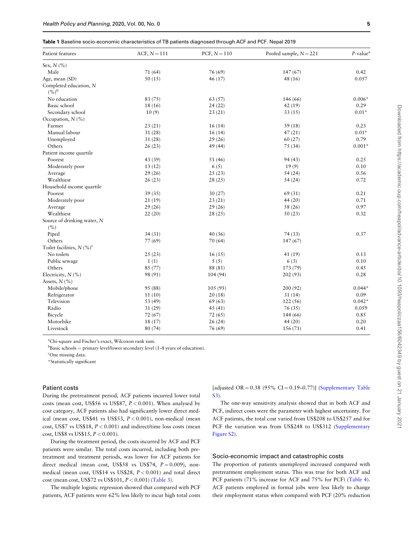<span id="page-4-0"></span>Table 1 Baseline socio-economic characteristics of TB patients diagnosed through ACF and PCF. Nepal 2019

| Patient features                        | ACF, $N = 111$ | PCF, $N = 110$ | Pooled sample, $N = 221$ | $P$ -value <sup>a</sup> |
|-----------------------------------------|----------------|----------------|--------------------------|-------------------------|
| Sex, $N$ (%)                            |                |                |                          |                         |
| Male                                    | 71(64)         | 76 (69)        | 147(67)                  | 0.42                    |
| Age, mean (SD)                          | 50(15)         | 46(17)         | 48(16)                   | 0.057                   |
| Completed education, N<br>$(%)^{\rm b}$ |                |                |                          |                         |
| No education                            | 83 (75)        | 63 (57)        | 146 (66)                 | $0.006*$                |
| Basic school                            | 18 (16)        | 24(22)         | 42(19)                   | 0.29                    |
| Secondary school                        | 10(9)          | 23(21)         | 33(15)                   | $0.01*$                 |
| Occupation, N (%)                       |                |                |                          |                         |
| Farmer                                  | 23(21)         | 16(14)         | 39(18)                   | 0.23                    |
| Manual labour                           | 31(28)         | 16(14)         | 47(21)                   | $0.01*$                 |
| Unemployed                              | 31(28)         | 29(26)         | 60(27)                   | 0.79                    |
| Others                                  | 26(23)         | 49 (44)        | 75 (34)                  | $0.001*$                |
| Patient income quartile                 |                |                |                          |                         |
| Poorest                                 | 43 (39)        | 51 (46)        | 94 (43)                  | 0.25                    |
| Moderately poor                         | 13(12)         | 6(5)           | 19(9)                    | 0.10                    |
| Average                                 | 29(26)         | 25(23)         | 54(24)                   | 0.56                    |
| Wealthiest                              | 26(23)         | 28(25)         | 54(24)                   | 0.72                    |
| Household income quartile               |                |                |                          |                         |
| Poorest                                 | 39(35)         | 30(27)         | 69 (31)                  | 0.21                    |
| Moderately poor                         | 21(19)         | 23(21)         | 44(20)                   | 0.71                    |
| Average                                 | 29(26)         | 29(26)         | 58 (26)                  | 0.97                    |
| Wealthiest                              | 22(20)         | 28(25)         | 50(23)                   | 0.32                    |
| Source of drinking water, N             |                |                |                          |                         |
| (%)                                     |                |                |                          |                         |
| Piped                                   | 34(31)         | 40(36)         | 74 (33)                  | 0.37                    |
| Others                                  | 77 (69)        | 70(64)         | 147(67)                  |                         |
| Toilet facilities, $N$ (%) <sup>c</sup> |                |                |                          |                         |
| No toilets                              | 25(23)         | 16(15)         | 41 (19)                  | 0.13                    |
| Public sewage                           | 1(1)           | 5(5)           | 6(3)                     | 0.10                    |
| Others                                  | 85 (77)        | 88 (81)        | 173 (79)                 | 0.45                    |
| Electricity, $N$ (%)                    | 98 (91)        | 104 (94)       | 202 (93)                 | 0.28                    |
| Assets, $N$ (%)                         |                |                |                          |                         |
| Mobile/phone                            | 95 (88)        | 105(95)        | 200(92)                  | $0.044*$                |
| Refrigerator                            | 11(10)         | 20(18)         | 31(14)                   | 0.09                    |
| Television                              | 53 (49)        | 69(63)         | 122(56)                  | $0.042*$                |
| Radio                                   | 31(29)         | 45(41)         | 76 (35)                  | 0.059                   |
| Bicycle                                 | 72(67)         | 72(65)         | 144 (66)                 | 0.85                    |
| Motorbike                               | 18 (17)        | 26(24)         | 44 (20)                  | 0.20                    |
| Livestock                               | 80 (74)        | 76 (69)        | 156(71)                  | 0.41                    |
|                                         |                |                |                          |                         |

a Chi-square and Fischer's exact, Wilcoxon rank sum.

 $b$ Basic schools = primary level/lower secondary level (1–8 years of education).

<sup>c</sup>One missing data.

\*Statistically significant

#### Patient costs

During the pretreatment period, ACF patients incurred lower total costs (mean cost, US\$56 vs US\$87,  $P < 0.001$ ). When analysed by cost category, ACF patients also had significantly lower direct medical (mean cost, US\$41 vs US\$53,  $P < 0.001$ ), non-medical (mean cost, US\$7 vs US\$18,  $P < 0.001$ ) and indirect/time loss costs (mean cost, US\$8 vs US\$15,  $P < 0.001$ ).

During the treatment period, the costs incurred by ACF and PCF patients were similar. The total costs incurred, including both pretreatment and treatment periods, was lower for ACF patients for direct medical (mean cost, US\$58 vs US\$74,  $P = 0.009$ ), nonmedical (mean cost, US\$14 vs US\$28, P < 0.001) and total direct cost (mean cost, US\$72 vs US\$101,  $P < 0.001$ ) [\(Table 3](#page-6-0)).

The multiple logistic regression showed that compared with PCF patients, ACF patients were 62% less likely to incur high total costs [adjusted OR  $= 0.38$  (95% CI  $= 0.19 - 0.77$ )] [\(Supplementary Table](https://academic.oup.com/heapol/article-lookup/doi/10.1093/heapol/czaa156#supplementary-data) [S3\)](https://academic.oup.com/heapol/article-lookup/doi/10.1093/heapol/czaa156#supplementary-data).

The one-way sensitivity analysis showed that in both ACF and PCF, indirect costs were the parameter with highest uncertainty. For ACF patients, the total cost varied from US\$208 to US\$257 and for PCF the variation was from US\$248 to US\$312 ([Supplementary](https://academic.oup.com/heapol/article-lookup/doi/10.1093/heapol/czaa156#supplementary-data) [Figure S2](https://academic.oup.com/heapol/article-lookup/doi/10.1093/heapol/czaa156#supplementary-data)).

## Socio-economic impact and catastrophic costs

The proportion of patients unemployed increased compared with pretreatment employment status. This was true for both ACF and PCF patients (71% increase for ACF and 75% for PCF) [\(Table 4](#page-6-0)). ACF patients employed in formal jobs were less likely to change their employment status when compared with PCF (20% reduction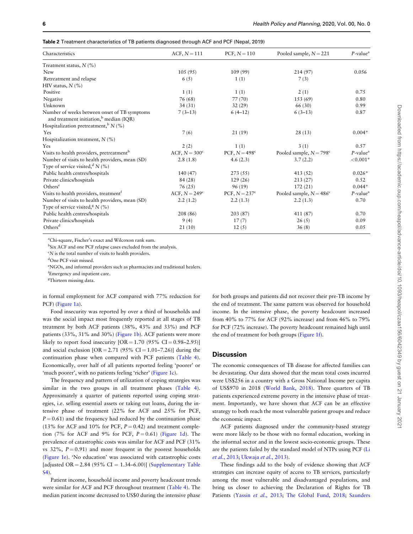| Characteristics                                                                                     | $ACF, N = 111$         | PCF, $N = 110$         | Pooled sample, $N = 221$         | $P$ -value <sup>a</sup> |
|-----------------------------------------------------------------------------------------------------|------------------------|------------------------|----------------------------------|-------------------------|
| Treatment status, $N(\%)$                                                                           |                        |                        |                                  |                         |
| <b>New</b>                                                                                          | 105(95)                | 109 (99)               | 214 (97)                         | 0.056                   |
| Retreatment and relapse                                                                             | 6(5)                   | 1(1)                   | 7(3)                             |                         |
| HIV status, $N$ (%)                                                                                 |                        |                        |                                  |                         |
| Positive                                                                                            | 1(1)                   | 1(1)                   | 2(1)                             | 0.75                    |
| Negative                                                                                            | 76 (68)                | 77(70)                 | 153 (69)                         | 0.80                    |
| Unknown                                                                                             | 34(31)                 | 32(29)                 | 66 (30)                          | 0.99                    |
| Number of weeks between onset of TB symptoms<br>and treatment initiation, <sup>b</sup> median (IQR) | $7(3-13)$              | $6(4-12)$              | $6(3-13)$                        | 0.87                    |
| Hospitalization pretreatment, $^{\rm b}$ N (%)                                                      |                        |                        |                                  |                         |
| Yes                                                                                                 | 7(6)                   | 21(19)                 | 28(13)                           | $0.004*$                |
| Hospitalization treatment, $N$ (%)                                                                  |                        |                        |                                  |                         |
| Yes                                                                                                 | 2(2)                   | 1(1)                   | 3(1)                             | 0.57                    |
| Visits to health providers, pretreatment <sup>b</sup>                                               | ACF, $N = 300^{\circ}$ | PCF, $N = 498^{\circ}$ | Pooled sample, $N = 798^{\circ}$ | $P$ -value <sup>a</sup> |
| Number of visits to health providers, mean (SD)                                                     | 2.8(1.8)               | 4.6(2.3)               | 3.7(2.2)                         | ${<}0.001*$             |
| Type of service visited, $N(\%)$                                                                    |                        |                        |                                  |                         |
| Public health centres/hospitals                                                                     | 140 (47)               | 273 (55)               | 413 (52)                         | $0.026*$                |
| Private clinics/hospitals                                                                           | 84 (28)                | 129(26)                | 213(27)                          | 0.52                    |
| Others <sup>e</sup>                                                                                 | 76(25)                 | 96(19)                 | 172(21)                          | $0.044*$                |
| Visits to health providers, treatment <sup>†</sup>                                                  | ACF, $N = 249^\circ$   | PCF, $N = 237^c$       | Pooled sample, $N = 486^{\circ}$ | $P$ -value <sup>a</sup> |
| Number of visits to health providers, mean (SD)                                                     | 2.2(1.2)               | 2.2(1.3)               | 2.2(1.3)                         | 0.70                    |
| Type of service visited, <sup>8</sup> N $(\% )$                                                     |                        |                        |                                  |                         |
| Public health centres/hospitals                                                                     | 208 (86)               | 203 (87)               | 411 (87)                         | 0.70                    |
| Private clinics/hospitals                                                                           | 9(4)                   | 17(7)                  | 26(5)                            | 0.09                    |
| Others <sup>d</sup>                                                                                 | 21(10)                 | 12(5)                  | 36(8)                            | 0.05                    |

<span id="page-5-0"></span>Table 2 Treatment characteristics of TB patients diagnosed through ACF and PCF (Nepal, 2019)

a Chi-square, Fischer's exact and Wilcoxon rank sum.

<sup>b</sup>Six ACF and one PCF relapse cases excluded from the analysis.

<sup>c</sup>N is the total number of visits to health providers.

d One PCF visit missed.

e NGOs, and informal providers such as pharmacists and traditional healers.

f Emergency and inpatient care.

<sup>g</sup>Thirteen missing data.

in formal employment for ACF compared with 77% reduction for PCF) ([Figure 1a](#page-7-0)).

Food insecurity was reported by over a third of households and was the social impact most frequently reported at all stages of TB treatment by both ACF patients (38%, 43% and 33%) and PCF patients (33%, 31% and 30%) [\(Figure 1b\)](#page-7-0). ACF patients were more likely to report food insecurity  $[OR = 1.70 (95\% CI = 0.98 - 2.95)]$ and social exclusion  $[OR = 2.71 (95\% CI = 1.01 - 7.26)]$  during the continuation phase when compared with PCF patients ([Table 4](#page-6-0)). Economically, over half of all patients reported feeling 'poorer' or 'much poorer', with no patients feeling 'richer' ([Figure 1c\)](#page-7-0).

The frequency and pattern of utilization of coping strategies was similar in the two groups in all treatment phases ([Table 4](#page-6-0)). Approximately a quarter of patients reported using coping strategies, i.e. selling essential assets or taking out loans, during the intensive phase of treatment (22% for ACF and 25% for PCF,  $P = 0.61$ ) and the frequency had reduced by the continuation phase (13% for ACF and 10% for PCF,  $P = 0.42$ ) and treatment completion (7% for ACF and 9% for PCF,  $P = 0.61$ ) [\(Figure 1d\)](#page-7-0). The prevalence of catastrophic costs was similar for ACF and PCF (31% vs 32%,  $P = 0.91$  and more frequent in the poorest households ([Figure 1e\)](#page-7-0). 'No education' was associated with catastrophic costs [adjusted OR =  $2.84$  (95% CI =  $1.34-6.00$ ] ([Supplementary Table](https://academic.oup.com/heapol/article-lookup/doi/10.1093/heapol/czaa156#supplementary-data) [S4\)](https://academic.oup.com/heapol/article-lookup/doi/10.1093/heapol/czaa156#supplementary-data).

Patient income, household income and poverty headcount trends were similar for ACF and PCF throughout treatment [\(Table 4\)](#page-6-0). The median patient income decreased to US\$0 during the intensive phase

for both groups and patients did not recover their pre-TB income by the end of treatment. The same pattern was observed for household income. In the intensive phase, the poverty headcount increased from 40% to 77% for ACF (92% increase) and from 46% to 79% for PCF (72% increase). The poverty headcount remained high until the end of treatment for both groups [\(Figure 1f](#page-7-0)).

## **Discussion**

The economic consequences of TB disease for affected families can be devastating. Our data showed that the mean total costs incurred were US\$256 in a country with a Gross National Income per capita of US\$970 in 2018 ([World Bank, 2018\)](#page-11-0). Three quarters of TB patients experienced extreme poverty in the intensive phase of treatment. Importantly, we have shown that ACF can be an effective strategy to both reach the most vulnerable patient groups and reduce the economic impact.

ACF patients diagnosed under the community-based strategy were more likely to be those with no formal education, working in the informal sector and in the lowest socio-economic groups. These are the patients failed by the standard model of NTPs using PCF ([Li](#page-10-0) et al.[, 2013;](#page-10-0) [Ukwaja](#page-10-0) et al., 2013).

These findings add to the body of evidence showing that ACF strategies can increase equity of access to TB services, particularly among the most vulnerable and disadvantaged populations, and bring us closer to achieving the Declaration of Rights for TB Patients (Yassin et al.[, 2013;](#page-11-0) [The Global Fund, 2018;](#page-10-0) [Saunders](#page-10-0)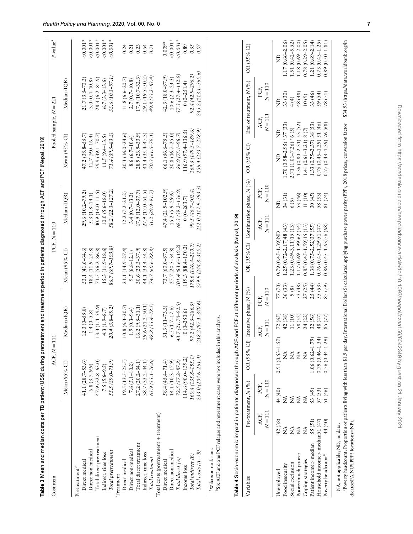<span id="page-6-0"></span>

| Cost item                                                                                                                                                                      |                |                      | $\overline{\mathbb{I}}$<br>ACF, N |                        |           | PCF, $N=110$                                           |                           |                     |                              | Pooled sample, $N = 221$ |                         | P-value <sup>a</sup> |
|--------------------------------------------------------------------------------------------------------------------------------------------------------------------------------|----------------|----------------------|-----------------------------------|------------------------|-----------|--------------------------------------------------------|---------------------------|---------------------|------------------------------|--------------------------|-------------------------|----------------------|
|                                                                                                                                                                                |                | Mean $(95\%$ Cl)     |                                   | Median (IQR)           |           | Mean (95% CI)                                          | Median (IQR)              |                     | Mean (95% CI)                |                          | Median (IQR)            |                      |
| Pretreatment <sup>b</sup>                                                                                                                                                      |                |                      |                                   |                        |           |                                                        |                           |                     |                              |                          |                         |                      |
| Direct medical                                                                                                                                                                 |                | 41.1 $(28.7 - 53.6)$ |                                   | $12.3(0 - 55.8)$       |           | 53.1 (41.6-64.6)                                       | 29.6 (10.2-79.2)          |                     | $47.2(38.8 - 55.7)$          |                          | $21.7(3.5 - 70.3)$      | $0.001*$             |
| Direct non-medical                                                                                                                                                             |                | $6.8(3.7 - 9.9)$     |                                   | $1.4(0 - 5.8)$         |           | 18.4 (11.9-24.8)                                       | $5.3(1.8 - 14.1)$         |                     | $12.7(9.0 - 16.4)$           |                          | $3.0(0.4 - 10.8)$       | $0.001*$             |
| Total direct pretreatment                                                                                                                                                      |                | 47.9 (32.8-63.0)     |                                   | $13.3(1.4 - 59.9)$     |           | $71.5(56.2 - 86.8)$                                    | 40.9 (14.0-11.5)          |                     | $59.9(49.1 - 70.7)$          |                          | $28.4(6.2 - 81.9)$      | $< 0.001*$           |
| Indirect, time loss                                                                                                                                                            |                | $7.5(5.6-9.5)$       |                                   | $4.3(1.9 - 8.7)$       |           | $15.3(11.9-18.6)$                                      | $10.0 (5.6 - 18.0)$       |                     | $11.5(9.4 - 13.5)$           |                          | $6.7(3.3-13.6)$         | $0.001*$             |
| Total pretreatment                                                                                                                                                             |                | 55.5 (39.0-71.9)     |                                   | $20.4(3.8-69.2)$       |           | $86.7(69.7-103.8)$                                     | 58.2 (22.3-127.2)         |                     | $71.4(59.5 - 83.3)$          |                          | 33.6 (10.3-97.1)        | $0.001*$             |
| Treatment                                                                                                                                                                      |                |                      |                                   |                        |           |                                                        |                           |                     |                              |                          |                         |                      |
| Direct medical                                                                                                                                                                 |                | $19.5(13.5-25.5)$    |                                   | $10.8(6.3 - 20.7)$     |           | $21.1(14.9 - 27.4)$                                    |                           | $12.2(7.2 - 21.2)$  | 20.3 (16.0-24.6)             |                          | $11.8(6.6 - 20.7)$      | 0.24                 |
| Direct non-medical                                                                                                                                                             |                | $7.6$ $(5.1 - 10.2)$ |                                   | $1.9(0.3-9.4)$         |           | $9.5(6.8 - 12.1)$                                      | $3.4(0.7 - 13.2)$         |                     | $8.6(6.7-10.4)$              |                          | $2.7(0.7-10.8)$         | 0.21                 |
| Total direct treatment                                                                                                                                                         |                | 27.2 (20.2-34.1)     |                                   | $16.2(9.5 - 31.1)$     |           | $30.6(23.3 - 37.9)$                                    | $17.9(12.0 - 37.7)$       |                     | $28.9(23.9 - 33.9)$          |                          | 17.9 (10.7-32.3)        | 0.23                 |
| Indirect, time loss                                                                                                                                                            |                | $38.7(33.2 - 44.1)$  |                                   | $29.6(21.2 - 50.1)$    |           | 44.1 (33.4–54.8)                                       | 27.9 (17.0–51.5)          |                     | $41.4(35.4 - 47.3)$          |                          | 29.1 (19.5-50.2)        | 0.54                 |
| Total treatment                                                                                                                                                                |                | 65.9 (55.1-76.6)     |                                   | $48.8$ $(35.4 - 78.5)$ |           | 74.7 (60.6-88.8)                                       | 51.2 (29.9-91.7)          |                     | 70.3 (61.5-79.1)             |                          | $49.8(33.2 - 83.4)$     | 0.71                 |
| Total costs (pretreatment + treatment)                                                                                                                                         |                |                      |                                   |                        |           |                                                        |                           |                     |                              |                          |                         |                      |
| Direct medical                                                                                                                                                                 |                | 58.4 (45.4-71.4)     |                                   | $31.3(11 - 73.3)$      |           | 73.7 (60.0-87.5)                                       | 47.4 (21.9-102.9          |                     | 66.1 (56.6-75.5)             |                          | $42.3(18.0 - 87.9)$     | $0.009*$             |
| Direct non-medical                                                                                                                                                             |                | 14.1 (10.3-17.9)     |                                   | $6.5(1.7-17.6)$        |           | $27.7(20.5 - 34.8)$                                    | $15.2 (5.9 - 29.6)$       |                     | 20.8 (16.7-25.0)             |                          | $10.6(2.3-23.3)$        | $< 0.001*$           |
| Total direct (A)                                                                                                                                                               |                | $72.5 (57.2 - 87.8)$ |                                   | 43.7 (21.70-92.5)      |           | 101.4 (83.6-119.2)                                     | 69.3 (39.2-136.9)         |                     | 86.9 (75.1-98.7)             |                          | 57.3 (27.4-112.9)       | $0.001*$             |
| Income loss                                                                                                                                                                    |                | 114.6 (90.0-139.2)   |                                   | $0(0-250.6)$           |           | 119.3 (88.4–150.2)                                     | $0(0-263.7)$              |                     | $116.9(97.4 - 136.5)$        |                          | $0(0-251.4)$            | 0.89                 |
|                                                                                                                                                                                |                |                      |                                   |                        |           |                                                        |                           |                     |                              |                          |                         |                      |
| Total indirect (B)                                                                                                                                                             |                | 160.4 (135.8-185.1)  |                                   | $97.2(42.5 - 286.5)$   |           | 178.6 (146.4–210.7,                                    | 90.5 (46.7-302.4)         |                     | 169.5 (149.3–189.6)          |                          | $92.4(42.9 - 296.2)$    | 0.55                 |
| $Total costs (A + B)$                                                                                                                                                          |                | 233.0 (204.6-261.4)  |                                   | 218.2 (97.1-340.6)     |           | 279.9 (244.8-315.2)                                    | 252.0 (117.9-393.3)       |                     | 256.4 (233.7-278.9)          |                          | 245.2 (113.1–365.6)     | $0.07\,$             |
| Six ACF and one PCF relapse and retreatment cases were not included in this analysis<br>Table 4 Socio-economic impact in patients diagnosed through ACF<br>aWilcoxon rank sum. |                |                      |                                   |                        |           | and PCF at different periods of analysis (Nepal, 2019) |                           |                     |                              |                          |                         |                      |
| Variables                                                                                                                                                                      |                | Pre-treatment, N (%) | OR (95% CI)                       | Intensive phase, N (%) |           | OR (95% CI)                                            | Continuation phase, N (%) |                     | OR (95% CI)                  |                          | End of treatment, N (%) | $OR(95%$ CI)         |
|                                                                                                                                                                                | ACF.           | PCF,                 |                                   | ACF.                   | PCF.      |                                                        | ACF.                      | PCF.                |                              | ACF.                     | PCF.                    |                      |
|                                                                                                                                                                                | $N = 111$      | $N = 110$            |                                   | $N = 111$              | $N = 110$ |                                                        | $N = 111$                 | $N=110$             |                              | $N = 111$                | $N = 110$               |                      |
| Unemployed                                                                                                                                                                     | 42 (38)        | 44 (40)              | $0.91(0.53 - 1.57)$               | 72(65)                 | 77 (70)   | $0.79(0.45 - 1.39)N$                                   |                           | £                   | £                            |                          | g                       | $\Xi$                |
| Food insecurity                                                                                                                                                                | Ź              | É                    | ź                                 | 42 (38)                | 36 (33)   | $1.25(0.72 - 2.17)48(43)$                              |                           | 34 (31)             | $1.70(0.98 - 2.95) * 37(33)$ |                          | 33 (30)                 | $1.17(0.66 - 2.06)$  |
| Social exclusion                                                                                                                                                               | $\tilde{\Xi}$  | $\tilde{z}$          | $\tilde{\vec{z}}$                 | 11 (10)                | 9(8)      | $1.23(0.49 - 3.11)15(13)$                              |                           | 6(5)                | $2.71(1.01 - 7.26) * 6(5)$   |                          | 4(4)                    | $1.51(0.42 - 5.52)$  |
| Poorer/much poorer                                                                                                                                                             | $\tilde{\Xi}$  | $\tilde{\Xi}$        | $\stackrel{\triangle}{\Sigma}$    | 58 (52)                | 53 (48)   | $1.17(0.69 - 1.99)62(54)$                              |                           | 53 (46)             | 1.36 (0.80-2.31) 53 (52      |                          | 48 (48)                 | $1.18(0.69 - 2.00)$  |
| Coping strategies                                                                                                                                                              | $\tilde{\geq}$ | $\tilde{z}$          | $\tilde{\rm Z}$                   | 24 (22)                | 27(25)    | $0.85(0.45 - 1.59)15(13)$                              |                           | $11\left(10\right)$ | $1.41(0.61 - 3.21)$ 8 (7)    |                          | $10(9)$                 | $0.78(0.29 - 2.05)$  |
| Patient income > median                                                                                                                                                        | 55(51)         | $53(49)$<br>$57(53)$ | $1.06(0.62 - 1.79)$               | 32 (56)                | 25(44)    | $1.38(0.75 - 2.52)37(55)$                              |                           | 30(45)              | $1.33(0.75 - 2.37)$ 38(53)   |                          | 33 (46)                 | $1.21(0.69 - 2.14)$  |
| Household income> median51 (47)                                                                                                                                                |                |                      | $0.79(0.46 - 1.34)$               | 48 (47)                | 55 (53)   | $0.76(0.45 - 1.29)51(47)$                              |                           | 58 (53)             | $0.76(0.45 - 1.29)$ 51 (46)  |                          | 59 (54)                 | $0.73(0.43 - 1.25)$  |
| Poverty headcount <sup>a</sup>                                                                                                                                                 | 44 (40)        | 51 (46)              | $0.76(0.44 - 1.29)$               | 85 (77)                | 87 (79)   | $0.86(0.45 - 1.63)76(68)$                              |                           | 81 (74)             | $0.77(0.43 - 1.39)$ 76 (68)  |                          | 78 (71)                 | $0.89(0.50 - 1.81)$  |

NA, not applicable; ND, no data. NA, not applicable; ND, no data.

a Poverty headcount: Proportion of patients living with less than \$1.9 per day, International Dollar (\$) calculated applying purchase power parity (PPP), 2018 prices, conversion factor = \$34.93 (https://data.worldbank.org/ aPoverty headcount: Proportion of patients living with less than \$1.9 per day, International Dollar (\$) calculated applying purchase power parity (PPP), 2018 prices, conversion factor ¼ \$34.93 ([https://data.worldbank.org/in](https://data.worldbank.org/indicator/PA.NUS.PPP? locations=NP) dicator/PA.NUS.PPP? locations=NP). [dicator/PA.NUS.PPP?](https://data.worldbank.org/indicator/PA.NUS.PPP? locations=NP) locations=[NP](https://data.worldbank.org/indicator/PA.NUS.PPP? locations=NP)).

 $\begin{array}{c} 0.73 \ (0.43 \text{--} 1.25) \\ 0.89 \ (0.50 \text{--} 1.81) \end{array}$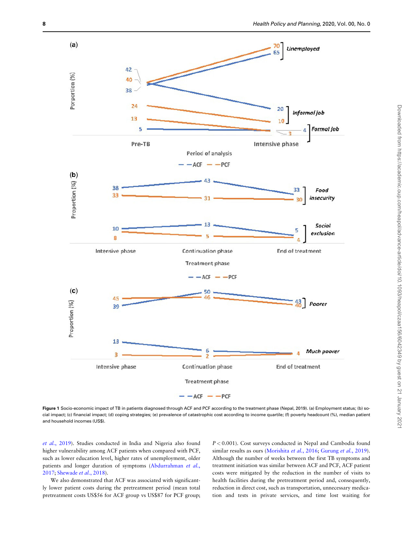<span id="page-7-0"></span>

Figure 1 Socio-economic impact of TB in patients diagnosed through ACF and PCF according to the treatment phase (Nepal, 2019). (a) Employment status; (b) social impact; (c) financial impact; (d) coping strategies; (e) prevalence of catastrophic cost according to income quartile; (f) poverty headcount (%), median patient and household incomes (US\$).

et al.[, 2019](#page-10-0)). Studies conducted in India and Nigeria also found higher vulnerability among ACF patients when compared with PCF, such as lower education level, higher rates of unemployment, older patients and longer duration of symptoms [\(Abdurrahman](#page-10-0) et al., [2017;](#page-10-0) [Shewade](#page-10-0) et al., 2018).

We also demonstrated that ACF was associated with significantly lower patient costs during the pretreatment period (mean total pretreatment costs US\$56 for ACF group vs US\$87 for PCF group;

 $P < 0.001$ ). Cost surveys conducted in Nepal and Cambodia found similar results as ours [\(Morishita](#page-10-0) et al., 2016; [Gurung](#page-10-0) et al., 2019). Although the number of weeks between the first TB symptoms and treatment initiation was similar between ACF and PCF, ACF patient costs were mitigated by the reduction in the number of visits to health facilities during the pretreatment period and, consequently, reduction in direct cost, such as transportation, unnecessary medication and tests in private services, and time lost waiting for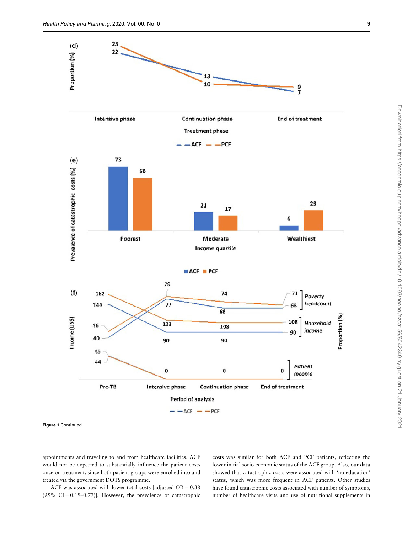

Figure 1 Continued

appointments and traveling to and from healthcare facilities. ACF would not be expected to substantially influence the patient costs once on treatment, since both patient groups were enrolled into and treated via the government DOTS programme.

ACF was associated with lower total costs [adjusted  $OR = 0.38$ (95% CI = 0.19–0.77)]. However, the prevalence of catastrophic costs was similar for both ACF and PCF patients, reflecting the lower initial socio-economic status of the ACF group. Also, our data showed that catastrophic costs were associated with 'no education' status, which was more frequent in ACF patients. Other studies have found catastrophic costs associated with number of symptoms, number of healthcare visits and use of nutritional supplements in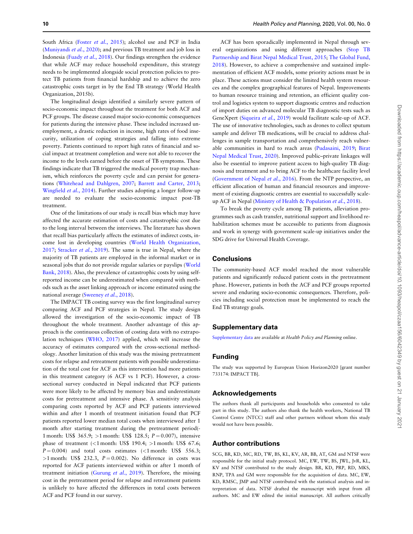South Africa (Foster et al.[, 2015\)](#page-10-0); alcohol use and PCF in India ([Muniyandi](#page-10-0) et al., 2020); and previous TB treatment and job loss in Indonesia (Fuady et al.[, 2018\)](#page-10-0). Our findings strengthen the evidence that while ACF may reduce household expenditure, this strategy needs to be implemented alongside social protection policies to protect TB patients from financial hardship and to achieve the zero catastrophic costs target in by the End TB strategy (World Health Organization, 2015b).

The longitudinal design identified a similarly severe pattern of socio-economic impact throughout the treatment for both ACF and PCF groups. The disease caused major socio-economic consequences for patients during the intensive phase. These included increased unemployment, a drastic reduction in income, high rates of food insecurity, utilization of coping strategies and falling into extreme poverty. Patients continued to report high rates of financial and social impact at treatment completion and were not able to recover the income to the levels earned before the onset of TB symptoms. These findings indicate that TB triggered the medical poverty trap mechanism, which reinforces the poverty cycle and can persist for generations [\(Whitehead and Dahlgren, 2007](#page-10-0); [Barrett and Carter, 2013;](#page-10-0) [Wingfield](#page-10-0) et al., 2014). Further studies adopting a longer follow-up are needed to evaluate the socio-economic impact post-TB treatment.

One of the limitations of our study is recall bias which may have affected the accurate estimation of costs and catastrophic cost due to the long interval between the interviews. The literature has shown that recall bias particularly affects the estimates of indirect costs, income lost in developing countries ([World Health Organization,](#page-11-0) [2017;](#page-11-0) [Stracker](#page-10-0) et al., 2019). The same is true in Nepal, where the majority of TB patients are employed in the informal market or in seasonal jobs that do not provide regular salaries or payslips [\(World](#page-11-0) [Bank, 2018\)](#page-11-0). Also, the prevalence of catastrophic costs by using selfreported income can be underestimated when compared with methods such as the asset linking approach or income estimated using the national average [\(Sweeney](#page-10-0) et al., 2018).

The IMPACT TB costing survey was the first longitudinal survey comparing ACF and PCF strategies in Nepal. The study design allowed the investigation of the socio-economic impact of TB throughout the whole treatment. Another advantage of this approach is the continuous collection of costing data with no extrapolation techniques ([WHO, 2017](#page-10-0)) applied, which will increase the accuracy of estimates compared with the cross-sectional methodology. Another limitation of this study was the missing pretreatment costs for relapse and retreatment patients with possible underestimation of the total cost for ACF as this intervention had more patients in this treatment category (6 ACF vs 1 PCF). However, a crosssectional survey conducted in Nepal indicated that PCF patients were more likely to be affected by memory bias and underestimate costs for pretreatment and intensive phase. A sensitivity analysis comparing costs reported by ACF and PCF patients interviewed within and after 1 month of treatment initiation found that PCF patients reported lower median total costs when interviewed after 1 month after starting treatment during the pretreatment period(- 1 month: US\$  $365.9$ ; >1 month: US\$ 128.5;  $P = 0.007$ ), intensive phase of treatment  $\langle$ <1 month: US\$ 190.4; >1 month: US\$ 67.6;  $P = 0.004$ ) and total costs estimates (<1 month: US\$ 556.3;  $>1$  month: US\$ 232.3,  $P = 0.002$ ). No difference in costs was reported for ACF patients interviewed within or after 1 month of treatment initiation ([Gurung](#page-10-0) et al., 2019). Therefore, the missing cost in the pretreatment period for relapse and retreatment patients is unlikely to have affected the differences in total costs between ACF and PCF found in our survey.

ACF has been sporadically implemented in Nepal through several organizations and using different approaches ([Stop TB](#page-10-0) [Partnership and Birat Nepal Medical Trust, 2015;](#page-10-0) [The Global Fund,](#page-10-0) [2018\)](#page-10-0). However, to achieve a comprehensive and sustained implementation of efficient ACF models, some priority actions must be in place. These actions must consider the limited health system resources and the complex geographical features of Nepal. Improvements to human resource training and retention, an efficient quality control and logistics system to support diagnostic centres and reduction of import duties on advanced molecular TB diagnostic tests such as GeneXpert [\(Siqueira](#page-10-0) et al., 2019) would facilitate scale-up of ACF. The use of innovative technologies, such as drones to collect sputum sample and deliver TB medications, will be crucial to address challenges in sample transportation and comprehensively reach vulnerable communities in hard to reach areas [\(Pudasaini, 2019](#page-10-0); [Birat](#page-10-0) [Nepal Medical Trust, 2020](#page-10-0)). Improved public–private linkages will also be essential to improve patient access to high-quality TB diagnosis and treatment and to bring ACF to the healthcare facility level ([Government of Nepal](#page-10-0) et al., 2016). From the NTP perspective, an efficient allocation of human and financial resources and improvement of existing diagnostic centres are essential to successfully scaleup ACF in Nepal ([Ministry of Health](#page-10-0) & [Population](#page-10-0) et al., 2018).

To break the poverty cycle among TB patients, alleviation programmes such as cash transfer, nutritional support and livelihood rehabilitation schemes must be accessible to patients from diagnosis and work in synergy with government scale-up initiatives under the SDG drive for Universal Health Coverage.

#### Conclusions

The community-based ACF model reached the most vulnerable patients and significantly reduced patient costs in the pretreatment phase. However, patients in both the ACF and PCF groups reported severe and enduring socio-economic consequences. Therefore, policies including social protection must be implemented to reach the End TB strategy goals.

## Supplementary data

[Supplementary data](https://academic.oup.com/heapol/article-lookup/doi/10.1093/heapol/czaa156#supplementary-data) are available at Health Policy and Planning online.

#### Funding

The study was supported by European Union Horizon2020 [grant number 733174: IMPACT TB].

## Acknowledgements

The authors thank all participants and households who consented to take part in this study. The authors also thank the health workers, National TB Control Centre (NTCC) staff and other partners without whom this study would not have been possible.

## Author contributions

SCG, BR, KD, MC, RD, TW, BS, KL, KV, AR, BB, AT, GM and NTSF were responsible for the initial study protocol. MC, EW, TW, BS, JWL, JvR, KL, KV and NTSF contributed to the study design. BR, KD, PRP, RD, MKS, RNP, TPA and GM were responsible for the acquisition of data. MC, EW, KD, RMSC, JMP and NTSF contributed with the statistical analysis and interpretation of data. NTSF drafted the manuscript with input from all authors. MC and EW edited the initial manuscript. All authors critically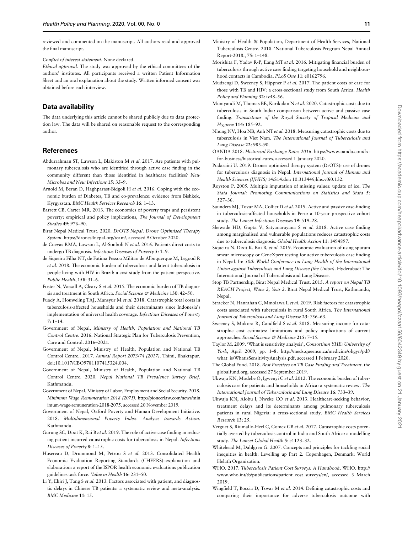<span id="page-10-0"></span>reviewed and commented on the manuscript. All authors read and approved the final manuscript.

Conflict of interest statement. None declared.

Ethical approval. The study was approved by the ethical committees of the authors' institutes. All participants received a written Patient Information Sheet and an oral explanation about the study. Written informed consent was obtained before each interview.

## Data availability

The data underlying this article cannot be shared publicly due to data protection law. The data will be shared on reasonable request to the corresponding author.

## **References**

- Abdurrahman ST, Lawson L, Blakiston M et al. 2017. Are patients with pulmonary tuberculosis who are identified through active case finding in the community different than those identified in healthcare facilities? New Microbes and New Infections 15: 35–9.
- Arnold M, Beran D, Haghparast-Bidgoli H et al. 2016. Coping with the economic burden of Diabetes, TB and co-prevalence: evidence from Bishkek, Kyrgyzstan. BMC Health Services Research 16: 1–13.
- Barrett CB, Carter MR. 2013. The economics of poverty traps and persistent poverty: empirical and policy implications, The Journal of Development Studies 49: 976–90.
- Birat Nepal Medical Trust. 2020. DrOTS Nepal. Drone Optimised Therapy System. [https://drones4nepal.org/team/,](https://drones4nepal.org/team/) accessed 9 October 2020.
- de Cuevas RMA, Lawson L, Al-Sonboli N et al. 2016. Patients direct costs to undergo TB diagnosis. Infectious Diseases of Poverty 5: 1–9.
- de Siqueira Filha NT, de Fatima Pessoa Militao de Albuquerque M, Legood R et al. 2018. The economic burden of tuberculosis and latent tuberculosis in people living with HIV in Brazil: a cost study from the patient perspective. Public Health, 158: 31–6.
- Foster N, Vassall A, Cleary S et al. 2015. The economic burden of TB diagnosis and treatment in South Africa. Social Science & Medicine 130: 42-50.
- Fuady A, Houweling TAJ, Mansyur M et al. 2018. Catastrophic total costs in tuberculosis-affected households and their determinants since Indonesia's implementation of universal health coverage. Infectious Diseases of Poverty 7: 1–14.
- Government of Nepal, Ministry of Health, Population and National TB Control Centre. 2016. National Strategic Plan for Tuberculosis Prevention, Care and Control. 2016–2021.
- Government of Nepal, Ministry of Health, Population and National TB Control Centre,. 2017. Annual Report 2073/74 (2017). Thimi, Bhaktapur. doi:10.1017/CBO9781107415324.004.
- Government of Nepal, Ministry of Health, Population and National TB Control Centre. 2020. Nepal National TB Prevalence Survey Brief. Kathmandu.
- Government of Nepal, Ministry of Labor, Employment and Social Security. 2018. Minimum Wage Remuneration 2018 (2075). [http://pioneerlaw.com/news/min](http://pioneerlaw.com/news/minimum-wage-remuneration-2018-2075) [imum-wage-remuneration-2018-2075](http://pioneerlaw.com/news/minimum-wage-remuneration-2018-2075), accessed 20 November 2019.
- Government of Nepal, Oxford Poverty and Human Development Initiative. 2018. Multidimensional Poverty Index. Analysis towards Action. Kathmandu.
- Gurung SC, Dixit K, Rai B et al. 2019. The role of active case finding in reducing patient incurred catastrophic costs for tuberculosis in Nepal. Infectious Diseases of Poverty 8: 1–15.
- Husereau D, Drummond M, Petrou S et al. 2013. Consolidated Health Economic Evaluation Reporting Standards (CHEERS)–explanation and elaboration: a report of the ISPOR health economic evaluations publication guidelines task force. Value in Health 16: 231–50.
- Li Y, Ehiri J, Tang S et al. 2013. Factors associated with patient, and diagnostic delays in Chinese TB patients: a systematic review and meta-analysis. BMC Medicine 11: 15.
- Ministry of Health & Population, Department of Health Services, National Tuberculosis Centre. 2018. 'National Tuberculosis Program Nepal Annual Report-2018., 75: 1–148.
- Morishita F, Yadav R-P, Eang MT et al. 2016. Mitigating financial burden of tuberculosis through active case finding targeting household and neighbourhood contacts in Cambodia. PLoS One 11: e0162796.
- Mudzengi D, Sweeney S, Hippner P et al. 2017. The patient costs of care for those with TB and HIV: a cross-sectional study from South Africa. Health Policy and Planning 32: iv48–56.
- Muniyandi M, Thomas BE, Karikalan N et al. 2020. Catastrophic costs due to tuberculosis in South India: comparison between active and passive case finding. Transactions of the Royal Society of Tropical Medicine and Hygiene 114: 185–92.
- Nhung NV, Hoa NB, Anh NT et al. 2018. Measuring catastrophic costs due to tuberculosis in Viet Nam. The International Journal of Tuberculosis and Lung Disease 22: 983–90.
- OANDA 2018. Historical Exchange Rates 2016. [https://www.oanda.com/fx](https://www.oanda.com/fx-for-business/historical-rates)[for-business/historical-rates,](https://www.oanda.com/fx-for-business/historical-rates) accessed 1 January 2020.
- Pudasaini U. 2019. Drones optimized therapy system (DrOTS): use of drones for tuberculosis diagnosis in Nepal. International Journal of Human and Health Sciences (IJHHS) 14:S14.doi: 10.31344/ijhhs.v0i0.132.
- Royston P. 2005. Multiple imputation of missing values: update of ice. The Stata Journal: Promoting Communications on Statistics and Stata 5: 527–36.
- Saunders MJ, Tovar MA, Collier D et al. 2019. Active and passive case-finding in tuberculosis-affected households in Peru: a 10-year prospective cohort study. The Lancet Infectious Diseases 19: 519–28.
- Shewade HD, Gupta V, Satyanarayana S et al. 2018. Active case finding among marginalised and vulnerable populations reduces catastrophic costs due to tuberculosis diagnosis. Global Health Action 11: 1494897.
- Siqueira N, Dixit K, Rai B, et al. 2019. Economic evaluation of using sputum smear microscopy or GeneXpert testing for active tuberculosis case finding in Nepal. In: 50th World Conference on Lung Health of the International Union against Tuberculosis and Lung Disease (the Union). Hyderabad: The International Journal of Tuberculosis and Lung Disease.
- Stop TB Partnership, Birat Nepal Medical Trust. 2015. A report on Nepal TB REACH Project, Wave 2, Year 2. Birat Nepal Medical Trust, Kathmandu, Nepal.
- Stracker N, Hanrahan C, Mmolawa L et al. 2019. Risk factors for catastrophic costs associated with tuberculosis in rural South Africa. The International Journal of Tuberculosis and Lung Disease 23: 756–63.
- Sweeney S, Mukora R, Candfield S et al. 2018. Measuring income for catastrophic cost estimates: limitations and policy implications of current approaches. Social Science & Medicine 215: 7-15.
- Taylor M. 2009. 'What is sensitivity analysis', Consortium YHE: University of York, April 2009, pp. 1–8. [http://meds.queensu.ca/medicine/obgyn/pdf/](http://meds.queensu.ca/medicine/obgyn/pdf/what_is/WhatisSensitivityAnalysis.pdf) [what\\_is/WhatisSensitivityAnalysis.pdf, accessed 1 February 2020](http://meds.queensu.ca/medicine/obgyn/pdf/what_is/WhatisSensitivityAnalysis.pdf).
- The Global Fund. 2018. Best Practices on TB Case Finding and Treatment. [the](http://theglobalfund.org) [globalfund.org, accessed 27 September 2019](http://theglobalfund.org).
- Ukwaja KN, Modebe O, Igwenyi C et al. 2012. The economic burden of tuberculosis care for patients and households in Africa: a systematic review. The International Journal of Tuberculosis and Lung Disease 16: 733–39.
- Ukwaja KN, Alobu I, Nweke CO et al. 2013. Healthcare-seeking behavior, treatment delays and its determinants among pulmonary tuberculosis patients in rural Nigeria: a cross-sectional study. BMC Health Services Research 13: 25.
- Verguet S, Riumallo-Herl C, Gomez GB et al. 2017. Catastrophic costs potentially averted by tuberculosis control in India and South Africa: a modelling study. The Lancet Global Health 5: e1123–32.
- Whitehead M, Dahlgren G. 2007. Concepts and principles for tackling social inequities in health: Levelling up Part 2. Copenhagen, Denmark: World Helath Organization.
- WHO. 2017. Tuberculosis Patient Cost Surveys: A Handbook. WHO. [http://](http://www.who.int/tb/publications/patient_cost_surveys/en/) [www.who.int/tb/publications/patient\\_cost\\_surveys/en/, accessed 3 March](http://www.who.int/tb/publications/patient_cost_surveys/en/) [2019.](http://www.who.int/tb/publications/patient_cost_surveys/en/)
- Wingfield T, Boccia D, Tovar M et al. 2014. Defining catastrophic costs and comparing their importance for adverse tuberculosis outcome with